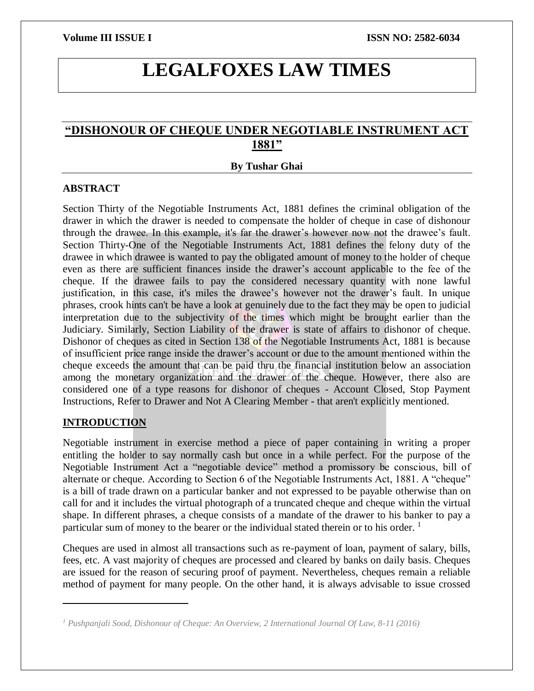# **LEGALFOXES LAW TIMES**

## **"DISHONOUR OF CHEQUE UNDER NEGOTIABLE INSTRUMENT ACT 1881"**

### **By Tushar Ghai**

### **ABSTRACT**

Section Thirty of the Negotiable Instruments Act, 1881 defines the criminal obligation of the drawer in which the drawer is needed to compensate the holder of cheque in case of dishonour through the drawee. In this example, it's far the drawer's however now not the drawee's fault. Section Thirty-One of the Negotiable Instruments Act, 1881 defines the felony duty of the drawee in which drawee is wanted to pay the obligated amount of money to the holder of cheque even as there are sufficient finances inside the drawer's account applicable to the fee of the cheque. If the drawee fails to pay the considered necessary quantity with none lawful justification, in this case, it's miles the drawee's however not the drawer's fault. In unique phrases, crook hints can't be have a look at genuinely due to the fact they may be open to judicial interpretation due to the subjectivity of the times which might be brought earlier than the Judiciary. Similarly, Section Liability of the drawer is state of affairs to dishonor of cheque. Dishonor of cheques as cited in Section 138 of the Negotiable Instruments Act, 1881 is because of insufficient price range inside the drawer's account or due to the amount mentioned within the cheque exceeds the amount that can be paid thru the financial institution below an association among the monetary organization and the drawer of the cheque. However, there also are considered one of a type reasons for dishonor of cheques - Account Closed, Stop Payment Instructions, Refer to Drawer and Not A Clearing Member - that aren't explicitly mentioned.

## **INTRODUCTION**

 $\overline{\phantom{a}}$ 

Negotiable instrument in exercise method a piece of paper containing in writing a proper entitling the holder to say normally cash but once in a while perfect. For the purpose of the Negotiable Instrument Act a "negotiable device" method a promissory be conscious, bill of alternate or cheque. According to Section 6 of the Negotiable Instruments Act, 1881. A "cheque" is a bill of trade drawn on a particular banker and not expressed to be payable otherwise than on call for and it includes the virtual photograph of a truncated cheque and cheque within the virtual shape. In different phrases, a cheque consists of a mandate of the drawer to his banker to pay a particular sum of money to the bearer or the individual stated therein or to his order.  $<sup>1</sup>$ </sup>

Cheques are used in almost all transactions such as re-payment of loan, payment of salary, bills, fees, etc. A vast majority of cheques are processed and cleared by banks on daily basis. Cheques are issued for the reason of securing proof of payment. Nevertheless, cheques remain a reliable method of payment for many people. On the other hand, it is always advisable to issue crossed

*<sup>1</sup> Pushpanjali Sood, Dishonour of Cheque: An Overview, 2 International Journal Of Law, 8-11 (2016)*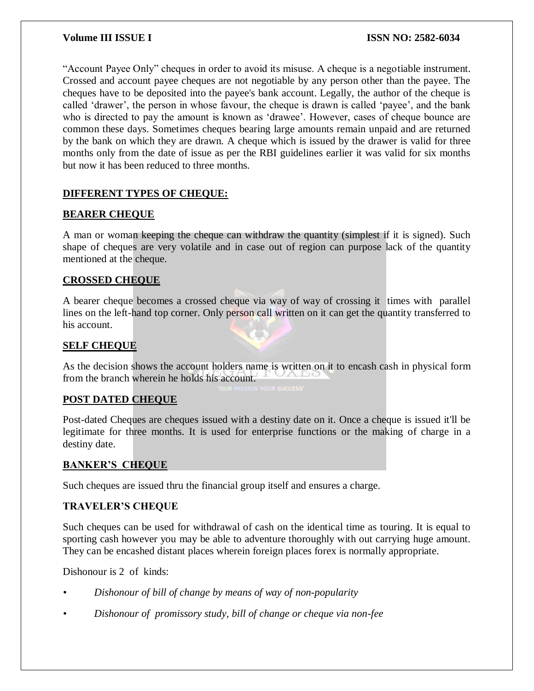"Account Payee Only" cheques in order to avoid its misuse. A cheque is a negotiable instrument. Crossed and account payee cheques are not negotiable by any person other than the payee. The cheques have to be deposited into the payee's bank account. Legally, the author of the cheque is called 'drawer', the person in whose favour, the cheque is drawn is called 'payee', and the bank who is directed to pay the amount is known as 'drawee'. However, cases of cheque bounce are common these days. Sometimes cheques bearing large amounts remain unpaid and are returned by the bank on which they are drawn. A cheque which is issued by the drawer is valid for three months only from the date of issue as per the RBI guidelines earlier it was valid for six months but now it has been reduced to three months.

## **DIFFERENT TYPES OF CHEQUE:**

## **BEARER CHEQUE**

A man or woman keeping the cheque can withdraw the quantity (simplest if it is signed). Such shape of cheques are very volatile and in case out of region can purpose lack of the quantity mentioned at the cheque.

## **CROSSED CHEQUE**

A bearer cheque becomes a crossed cheque via way of way of crossing it times with parallel lines on the left-hand top corner. Only person call written on it can get the quantity transferred to his account.

## **SELF CHEQUE**

As the decision shows the account holders name is written on it to encash cash in physical form from the branch wherein he holds his account.

## **POST DATED CHEQUE**

Post-dated Cheques are cheques issued with a destiny date on it. Once a cheque is issued it'll be legitimate for three months. It is used for enterprise functions or the making of charge in a destiny date.

## **BANKER'S CHEQUE**

Such cheques are issued thru the financial group itself and ensures a charge.

## **TRAVELER'S CHEQUE**

Such cheques can be used for withdrawal of cash on the identical time as touring. It is equal to sporting cash however you may be able to adventure thoroughly with out carrying huge amount. They can be encashed distant places wherein foreign places forex is normally appropriate.

Dishonour is 2 of kinds:

- *• Dishonour of bill of change by means of way of non-popularity*
- *• Dishonour of promissory study, bill of change or cheque via non-fee*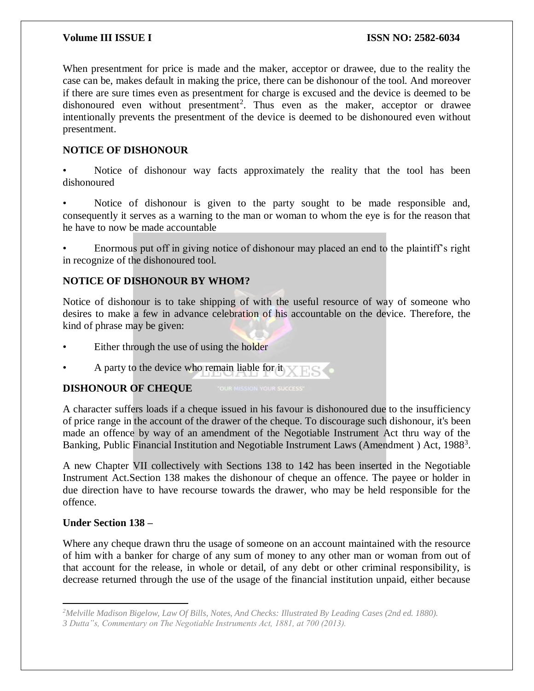When presentment for price is made and the maker, acceptor or drawee, due to the reality the case can be, makes default in making the price, there can be dishonour of the tool. And moreover if there are sure times even as presentment for charge is excused and the device is deemed to be dishonoured even without presentment<sup>2</sup>. Thus even as the maker, acceptor or drawee intentionally prevents the presentment of the device is deemed to be dishonoured even without presentment.

## **NOTICE OF DISHONOUR**

Notice of dishonour way facts approximately the reality that the tool has been dishonoured

• Notice of dishonour is given to the party sought to be made responsible and, consequently it serves as a warning to the man or woman to whom the eye is for the reason that he have to now be made accountable

• Enormous put off in giving notice of dishonour may placed an end to the plaintiff's right in recognize of the dishonoured tool.

## **NOTICE OF DISHONOUR BY WHOM?**

Notice of dishonour is to take shipping of with the useful resource of way of someone who desires to make a few in advance celebration of his accountable on the device. Therefore, the kind of phrase may be given:

- Either through the use of using the holder
- A party to the device who remain liable for it

## **DISHONOUR OF CHEQUE**

A character suffers loads if a cheque issued in his favour is dishonoured due to the insufficiency of price range in the account of the drawer of the cheque. To discourage such dishonour, it's been made an offence by way of an amendment of the Negotiable Instrument Act thru way of the Banking, Public Financial Institution and Negotiable Instrument Laws (Amendment) Act, 1988<sup>3</sup>.

A new Chapter VII collectively with Sections 138 to 142 has been inserted in the Negotiable Instrument Act.Section 138 makes the dishonour of cheque an offence. The payee or holder in due direction have to have recourse towards the drawer, who may be held responsible for the offence.

## **Under Section 138 –**

 $\overline{\phantom{a}}$ 

Where any cheque drawn thru the usage of someone on an account maintained with the resource of him with a banker for charge of any sum of money to any other man or woman from out of that account for the release, in whole or detail, of any debt or other criminal responsibility, is decrease returned through the use of the usage of the financial institution unpaid, either because

*<sup>2</sup>Melville Madison Bigelow, Law Of Bills, Notes, And Checks: Illustrated By Leading Cases (2nd ed. 1880). 3 Dutta"s, Commentary on The Negotiable Instruments Act, 1881, at 700 (2013).*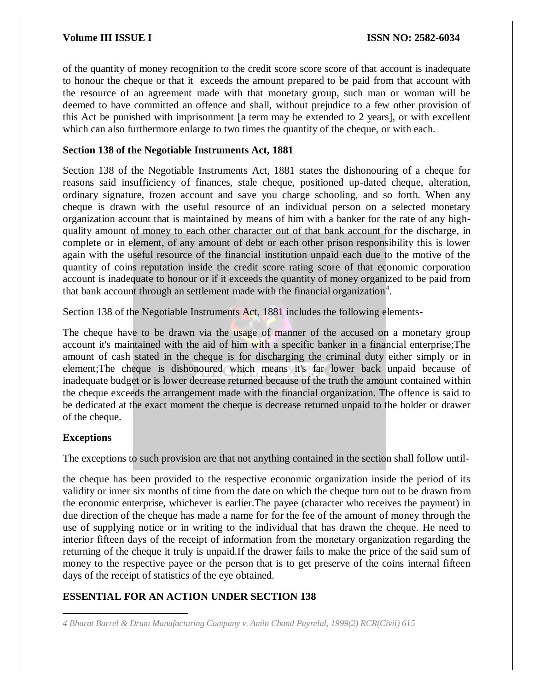of the quantity of money recognition to the credit score score score of that account is inadequate to honour the cheque or that it exceeds the amount prepared to be paid from that account with the resource of an agreement made with that monetary group, such man or woman will be deemed to have committed an offence and shall, without prejudice to a few other provision of this Act be punished with imprisonment [a term may be extended to 2 years], or with excellent which can also furthermore enlarge to two times the quantity of the cheque, or with each.

## **Section 138 of the Negotiable Instruments Act, 1881**

Section 138 of the Negotiable Instruments Act, 1881 states the dishonouring of a cheque for reasons said insufficiency of finances, stale cheque, positioned up-dated cheque, alteration, ordinary signature, frozen account and save you charge schooling, and so forth. When any cheque is drawn with the useful resource of an individual person on a selected monetary organization account that is maintained by means of him with a banker for the rate of any highquality amount of money to each other character out of that bank account for the discharge, in complete or in element, of any amount of debt or each other prison responsibility this is lower again with the useful resource of the financial institution unpaid each due to the motive of the quantity of coins reputation inside the credit score rating score of that economic corporation account is inadequate to honour or if it exceeds the quantity of money organized to be paid from that bank account through an settlement made with the financial organization<sup>4</sup>.

Section 138 of the Negotiable Instruments Act, 1881 includes the following elements-

The cheque have to be drawn via the usage of manner of the accused on a monetary group account it's maintained with the aid of him with a specific banker in a financial enterprise;The amount of cash stated in the cheque is for discharging the criminal duty either simply or in element;The cheque is dishonoured which means it's far lower back unpaid because of inadequate budget or is lower decrease returned because of the truth the amount contained within the cheque exceeds the arrangement made with the financial organization. The offence is said to be dedicated at the exact moment the cheque is decrease returned unpaid to the holder or drawer of the cheque.

## **Exceptions**

The exceptions to such provision are that not anything contained in the section shall follow until-

the cheque has been provided to the respective economic organization inside the period of its validity or inner six months of time from the date on which the cheque turn out to be drawn from the economic enterprise, whichever is earlier.The payee (character who receives the payment) in due direction of the cheque has made a name for for the fee of the amount of money through the use of supplying notice or in writing to the individual that has drawn the cheque. He need to interior fifteen days of the receipt of information from the monetary organization regarding the returning of the cheque it truly is unpaid.If the drawer fails to make the price of the said sum of money to the respective payee or the person that is to get preserve of the coins internal fifteen days of the receipt of statistics of the eye obtained.

## **ESSENTIAL FOR AN ACTION UNDER SECTION 138**

 $\overline{a}$ *4 Bharat Barrel & Drum Manufacturing Company v. Amin Chand Payrelal, 1999(2) RCR(Civil) 615*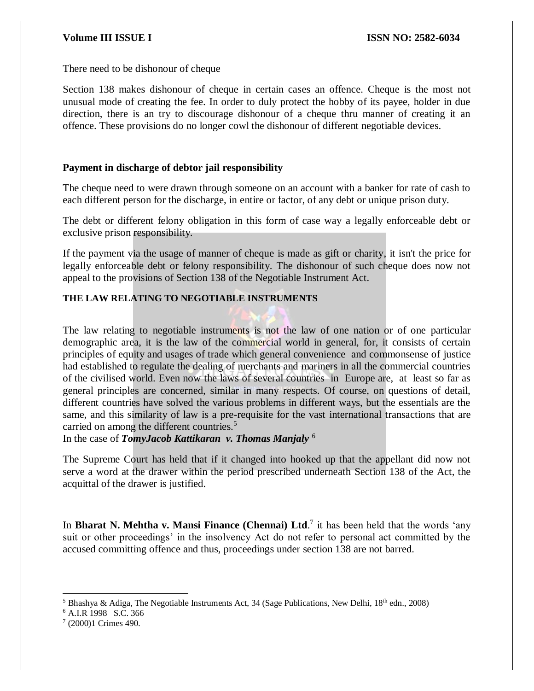There need to be dishonour of cheque

Section 138 makes dishonour of cheque in certain cases an offence. Cheque is the most not unusual mode of creating the fee. In order to duly protect the hobby of its payee, holder in due direction, there is an try to discourage dishonour of a cheque thru manner of creating it an offence. These provisions do no longer cowl the dishonour of different negotiable devices.

## **Payment in discharge of debtor jail responsibility**

The cheque need to were drawn through someone on an account with a banker for rate of cash to each different person for the discharge, in entire or factor, of any debt or unique prison duty.

The debt or different felony obligation in this form of case way a legally enforceable debt or exclusive prison responsibility.

If the payment via the usage of manner of cheque is made as gift or charity, it isn't the price for legally enforceable debt or felony responsibility. The dishonour of such cheque does now not appeal to the provisions of Section 138 of the Negotiable Instrument Act.

## **THE LAW RELATING TO NEGOTIABLE INSTRUMENTS**

The law relating to negotiable instruments is not the law of one nation or of one particular demographic area, it is the law of the commercial world in general, for, it consists of certain principles of equity and usages of trade which general convenience and commonsense of justice had established to regulate the dealing of merchants and mariners in all the commercial countries of the civilised world. Even now the laws of several countries in Europe are, at least so far as general principles are concerned, similar in many respects. Of course, on questions of detail, different countries have solved the various problems in different ways, but the essentials are the same, and this similarity of law is a pre-requisite for the vast international transactions that are carried on among the different countries.<sup>5</sup>

In the case of *TomyJacob Kattikaran v. Thomas Manjaly* <sup>6</sup>

The Supreme Court has held that if it changed into hooked up that the appellant did now not serve a word at the drawer within the period prescribed underneath Section 138 of the Act, the acquittal of the drawer is justified.

In **Bharat N. Mehtha v. Mansi Finance (Chennai) Ltd.**<sup>7</sup> it has been held that the words 'any suit or other proceedings' in the insolvency Act do not refer to personal act committed by the accused committing offence and thus, proceedings under section 138 are not barred.

 $\overline{a}$ <sup>5</sup> Bhashya & Adiga, The Negotiable Instruments Act, 34 (Sage Publications, New Delhi,  $18<sup>th</sup>$  edn., 2008)

<sup>6</sup> A.I.R 1998 S.C. 366

<sup>7</sup> (2000)1 Crimes 490.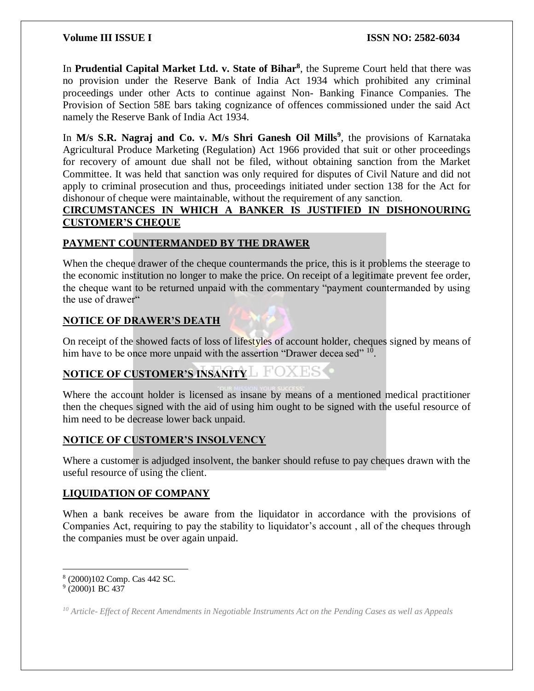In **Prudential Capital Market Ltd. v. State of Bihar<sup>8</sup>** , the Supreme Court held that there was no provision under the Reserve Bank of India Act 1934 which prohibited any criminal proceedings under other Acts to continue against Non- Banking Finance Companies. The Provision of Section 58E bars taking cognizance of offences commissioned under the said Act namely the Reserve Bank of India Act 1934.

In M/s S.R. Nagraj and Co. v. M/s Shri Ganesh Oil Mills<sup>9</sup>, the provisions of Karnataka Agricultural Produce Marketing (Regulation) Act 1966 provided that suit or other proceedings for recovery of amount due shall not be filed, without obtaining sanction from the Market Committee. It was held that sanction was only required for disputes of Civil Nature and did not apply to criminal prosecution and thus, proceedings initiated under section 138 for the Act for dishonour of cheque were maintainable, without the requirement of any sanction.

## **CIRCUMSTANCES IN WHICH A BANKER IS JUSTIFIED IN DISHONOURING CUSTOMER'S CHEQUE**

## **PAYMENT COUNTERMANDED BY THE DRAWER**

When the cheque drawer of the cheque countermands the price, this is it problems the steerage to the economic institution no longer to make the price. On receipt of a legitimate prevent fee order, the cheque want to be returned unpaid with the commentary "payment countermanded by using the use of drawer"

## **NOTICE OF DRAWER'S DEATH**

On receipt of the showed facts of loss of lifestyles of account holder, cheques signed by means of him have to be once more unpaid with the assertion "Drawer decea sed" <sup>10</sup>.

## **NOTICE OF CUSTOMER'S INSANITY**

Where the account holder is licensed as insane by means of a mentioned medical practitioner then the cheques signed with the aid of using him ought to be signed with the useful resource of him need to be decrease lower back unpaid.

## **NOTICE OF CUSTOMER'S INSOLVENCY**

Where a customer is adjudged insolvent, the banker should refuse to pay cheques drawn with the useful resource of using the client.

## **LIQUIDATION OF COMPANY**

When a bank receives be aware from the liquidator in accordance with the provisions of Companies Act, requiring to pay the stability to liquidator's account , all of the cheques through the companies must be over again unpaid.

 $\overline{\phantom{a}}$ 8 (2000)102 Comp. Cas 442 SC.

<sup>9</sup> (2000)1 BC 437

*<sup>10</sup> Article- Effect of Recent Amendments in Negotiable Instruments Act on the Pending Cases as well as Appeals*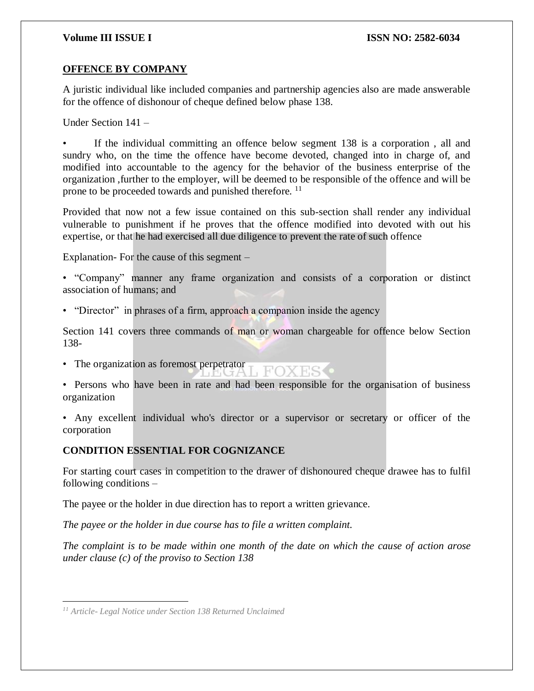## **OFFENCE BY COMPANY**

A juristic individual like included companies and partnership agencies also are made answerable for the offence of dishonour of cheque defined below phase 138.

Under Section 141 –

If the individual committing an offence below segment 138 is a corporation, all and sundry who, on the time the offence have become devoted, changed into in charge of, and modified into accountable to the agency for the behavior of the business enterprise of the organization ,further to the employer, will be deemed to be responsible of the offence and will be prone to be proceeded towards and punished therefore. <sup>11</sup>

Provided that now not a few issue contained on this sub-section shall render any individual vulnerable to punishment if he proves that the offence modified into devoted with out his expertise, or that he had exercised all due diligence to prevent the rate of such offence

Explanation- For the cause of this segment –

• "Company" manner any frame organization and consists of a corporation or distinct association of humans; and

• "Director" in phrases of a firm, approach a companion inside the agency

Section 141 covers three commands of man or woman chargeable for offence below Section 138-

• The organization as foremost perpetrator **I** FOXES

• Persons who have been in rate and had been responsible for the organisation of business organization

• Any excellent individual who's director or a supervisor or secretary or officer of the corporation

## **CONDITION ESSENTIAL FOR COGNIZANCE**

For starting court cases in competition to the drawer of dishonoured cheque drawee has to fulfil following conditions –

The payee or the holder in due direction has to report a written grievance.

*The payee or the holder in due course has to file a written complaint.*

*The complaint is to be made within one month of the date on which the cause of action arose under clause (c) of the proviso to Section 138*

 $\overline{a}$ *<sup>11</sup> Article- Legal Notice under Section 138 Returned Unclaimed*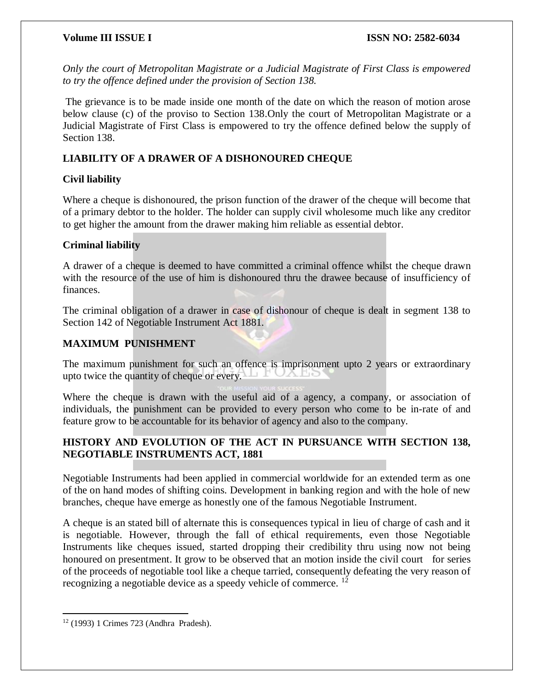*Only the court of Metropolitan Magistrate or a Judicial Magistrate of First Class is empowered to try the offence defined under the provision of Section 138.*

The grievance is to be made inside one month of the date on which the reason of motion arose below clause (c) of the proviso to Section 138.Only the court of Metropolitan Magistrate or a Judicial Magistrate of First Class is empowered to try the offence defined below the supply of Section 138.

## **LIABILITY OF A DRAWER OF A DISHONOURED CHEQUE**

## **Civil liability**

Where a cheque is dishonoured, the prison function of the drawer of the cheque will become that of a primary debtor to the holder. The holder can supply civil wholesome much like any creditor to get higher the amount from the drawer making him reliable as essential debtor.

## **Criminal liability**

A drawer of a cheque is deemed to have committed a criminal offence whilst the cheque drawn with the resource of the use of him is dishonoured thru the drawee because of insufficiency of finances.

The criminal obligation of a drawer in case of dishonour of cheque is dealt in segment 138 to Section 142 of Negotiable Instrument Act 1881.

## **MAXIMUM PUNISHMENT**

The maximum punishment for such an offence is imprisonment upto 2 years or extraordinary upto twice the quantity of cheque or every. ノヘ コモ

Where the cheque is drawn with the useful aid of a agency, a company, or association of individuals, the punishment can be provided to every person who come to be in-rate of and feature grow to be accountable for its behavior of agency and also to the company.

## **HISTORY AND EVOLUTION OF THE ACT IN PURSUANCE WITH SECTION 138, NEGOTIABLE INSTRUMENTS ACT, 1881**

Negotiable Instruments had been applied in commercial worldwide for an extended term as one of the on hand modes of shifting coins. Development in banking region and with the hole of new branches, cheque have emerge as honestly one of the famous Negotiable Instrument.

A cheque is an stated bill of alternate this is consequences typical in lieu of charge of cash and it is negotiable. However, through the fall of ethical requirements, even those Negotiable Instruments like cheques issued, started dropping their credibility thru using now not being honoured on presentment. It grow to be observed that an motion inside the civil court for series of the proceeds of negotiable tool like a cheque tarried, consequently defeating the very reason of recognizing a negotiable device as a speedy vehicle of commerce. <sup>12</sup>

 $\overline{a}$ <sup>12</sup> (1993) 1 Crimes 723 (Andhra Pradesh).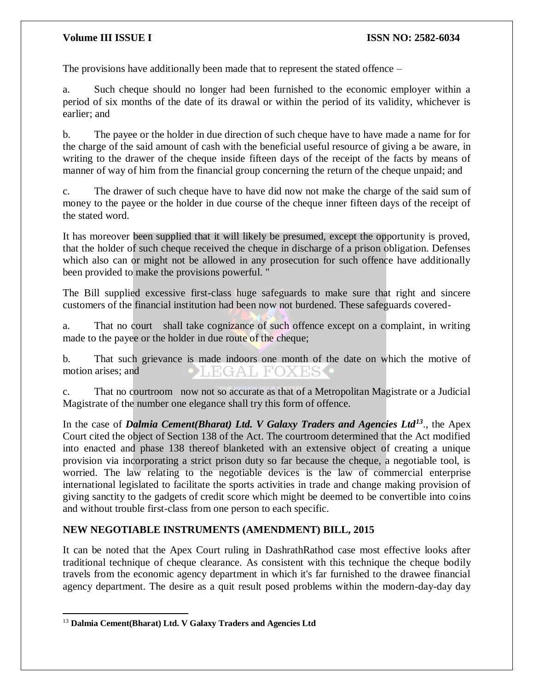The provisions have additionally been made that to represent the stated offence –

a. Such cheque should no longer had been furnished to the economic employer within a period of six months of the date of its drawal or within the period of its validity, whichever is earlier; and

b. The payee or the holder in due direction of such cheque have to have made a name for for the charge of the said amount of cash with the beneficial useful resource of giving a be aware, in writing to the drawer of the cheque inside fifteen days of the receipt of the facts by means of manner of way of him from the financial group concerning the return of the cheque unpaid; and

c. The drawer of such cheque have to have did now not make the charge of the said sum of money to the payee or the holder in due course of the cheque inner fifteen days of the receipt of the stated word.

It has moreover been supplied that it will likely be presumed, except the opportunity is proved, that the holder of such cheque received the cheque in discharge of a prison obligation. Defenses which also can or might not be allowed in any prosecution for such offence have additionally been provided to make the provisions powerful. "

The Bill supplied excessive first-class huge safeguards to make sure that right and sincere customers of the financial institution had been now not burdened. These safeguards covered-

a. That no court shall take cognizance of such offence except on a complaint, in writing made to the payee or the holder in due route of the cheque;

b. That such grievance is made indoors one month of the date on which the motive of motion arises; and **EGAL FOXES** 

c. That no courtroom now not so accurate as that of a Metropolitan Magistrate or a Judicial Magistrate of the number one elegance shall try this form of offence.

In the case of *Dalmia Cement(Bharat) Ltd. V Galaxy Traders and Agencies Ltd<sup>13</sup>*., the Apex Court cited the object of Section 138 of the Act. The courtroom determined that the Act modified into enacted and phase 138 thereof blanketed with an extensive object of creating a unique provision via incorporating a strict prison duty so far because the cheque, a negotiable tool, is worried. The law relating to the negotiable devices is the law of commercial enterprise international legislated to facilitate the sports activities in trade and change making provision of giving sanctity to the gadgets of credit score which might be deemed to be convertible into coins and without trouble first-class from one person to each specific.

## **NEW NEGOTIABLE INSTRUMENTS (AMENDMENT) BILL, 2015**

It can be noted that the Apex Court ruling in DashrathRathod case most effective looks after traditional technique of cheque clearance. As consistent with this technique the cheque bodily travels from the economic agency department in which it's far furnished to the drawee financial agency department. The desire as a quit result posed problems within the modern-day-day day

 $\overline{a}$ <sup>13</sup> **Dalmia Cement(Bharat) Ltd. V Galaxy Traders and Agencies Ltd**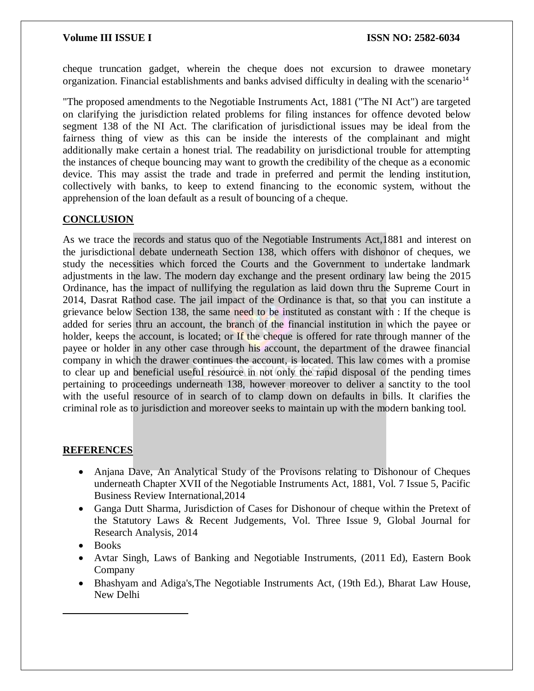cheque truncation gadget, wherein the cheque does not excursion to drawee monetary organization. Financial establishments and banks advised difficulty in dealing with the scenario<sup>14</sup>

"The proposed amendments to the Negotiable Instruments Act, 1881 ("The NI Act") are targeted on clarifying the jurisdiction related problems for filing instances for offence devoted below segment 138 of the NI Act. The clarification of jurisdictional issues may be ideal from the fairness thing of view as this can be inside the interests of the complainant and might additionally make certain a honest trial. The readability on jurisdictional trouble for attempting the instances of cheque bouncing may want to growth the credibility of the cheque as a economic device. This may assist the trade and trade in preferred and permit the lending institution, collectively with banks, to keep to extend financing to the economic system, without the apprehension of the loan default as a result of bouncing of a cheque.

## **CONCLUSION**

As we trace the records and status quo of the Negotiable Instruments Act,1881 and interest on the jurisdictional debate underneath Section 138, which offers with dishonor of cheques, we study the necessities which forced the Courts and the Government to undertake landmark adjustments in the law. The modern day exchange and the present ordinary law being the 2015 Ordinance, has the impact of nullifying the regulation as laid down thru the Supreme Court in 2014, Dasrat Rathod case. The jail impact of the Ordinance is that, so that you can institute a grievance below Section 138, the same need to be instituted as constant with : If the cheque is added for series thru an account, the branch of the financial institution in which the payee or holder, keeps the account, is located; or If the cheque is offered for rate through manner of the payee or holder in any other case through his account, the department of the drawee financial company in which the drawer continues the account, is located. This law comes with a promise to clear up and beneficial useful resource in not only the rapid disposal of the pending times pertaining to proceedings underneath 138, however moreover to deliver a sanctity to the tool with the useful resource of in search of to clamp down on defaults in bills. It clarifies the criminal role as to jurisdiction and moreover seeks to maintain up with the modern banking tool.

## **REFERENCES**

- Anjana Dave, An Analytical Study of the Provisons relating to Dishonour of Cheques underneath Chapter XVII of the Negotiable Instruments Act, 1881, Vol. 7 Issue 5, Pacific Business Review International,2014
- Ganga Dutt Sharma, Jurisdiction of Cases for Dishonour of cheque within the Pretext of the Statutory Laws & Recent Judgements, Vol. Three Issue 9, Global Journal for Research Analysis, 2014
- Books

 $\overline{a}$ 

- Avtar Singh, Laws of Banking and Negotiable Instruments, (2011 Ed), Eastern Book Company
- Bhashyam and Adiga's,The Negotiable Instruments Act, (19th Ed.), Bharat Law House, New Delhi